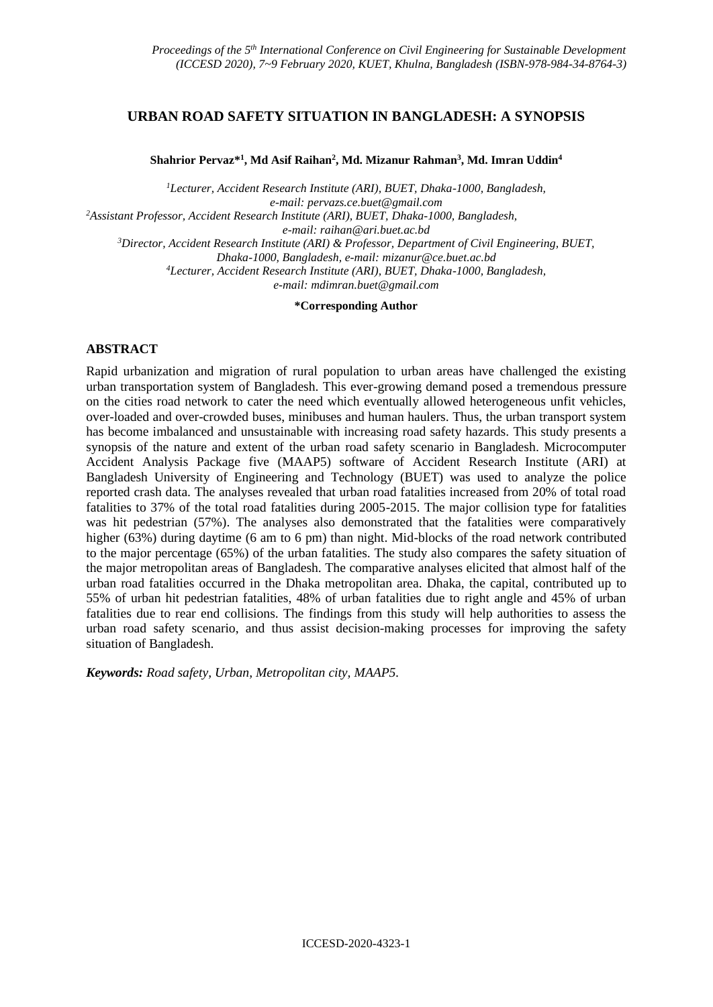# **URBAN ROAD SAFETY SITUATION IN BANGLADESH: A SYNOPSIS**

**Shahrior Pervaz\* 1 , Md Asif Raihan<sup>2</sup> , Md. Mizanur Rahman<sup>3</sup> , Md. Imran Uddin<sup>4</sup>**

*<sup>1</sup>Lecturer, Accident Research Institute (ARI), BUET, Dhaka-1000, Bangladesh, e-mail: [pervazs.ce.buet@gmail.com](mailto:pervazs.ce.buet@gmail.com) <sup>2</sup>Assistant Professor, Accident Research Institute (ARI), BUET, Dhaka-1000, Bangladesh,* 

*e-mail[: raihan@ari.buet.ac.bd](mailto:raihan@ari.buet.ac.bd)*

*<sup>3</sup>Director, Accident Research Institute (ARI) & Professor, Department of Civil Engineering, BUET,* 

*Dhaka-1000, Bangladesh, e-mail[: mizanur@ce.buet.ac.bd](mailto:mizanur@ce.buet.ac.bd)*

*<sup>4</sup>Lecturer, Accident Research Institute (ARI), BUET, Dhaka-1000, Bangladesh,*

*e-mail: [mdimran.buet@gmail.com](mailto:mdimran.buet@gmail.com)*

**\*Corresponding Author**

## **ABSTRACT**

Rapid urbanization and migration of rural population to urban areas have challenged the existing urban transportation system of Bangladesh. This ever-growing demand posed a tremendous pressure on the cities road network to cater the need which eventually allowed heterogeneous unfit vehicles, over-loaded and over-crowded buses, minibuses and human haulers. Thus, the urban transport system has become imbalanced and unsustainable with increasing road safety hazards. This study presents a synopsis of the nature and extent of the urban road safety scenario in Bangladesh. Microcomputer Accident Analysis Package five (MAAP5) software of Accident Research Institute (ARI) at Bangladesh University of Engineering and Technology (BUET) was used to analyze the police reported crash data. The analyses revealed that urban road fatalities increased from 20% of total road fatalities to 37% of the total road fatalities during 2005-2015. The major collision type for fatalities was hit pedestrian (57%). The analyses also demonstrated that the fatalities were comparatively higher (63%) during daytime (6 am to 6 pm) than night. Mid-blocks of the road network contributed to the major percentage (65%) of the urban fatalities. The study also compares the safety situation of the major metropolitan areas of Bangladesh. The comparative analyses elicited that almost half of the urban road fatalities occurred in the Dhaka metropolitan area. Dhaka, the capital, contributed up to 55% of urban hit pedestrian fatalities, 48% of urban fatalities due to right angle and 45% of urban fatalities due to rear end collisions. The findings from this study will help authorities to assess the urban road safety scenario, and thus assist decision-making processes for improving the safety situation of Bangladesh.

*Keywords: Road safety, Urban, Metropolitan city, MAAP5.*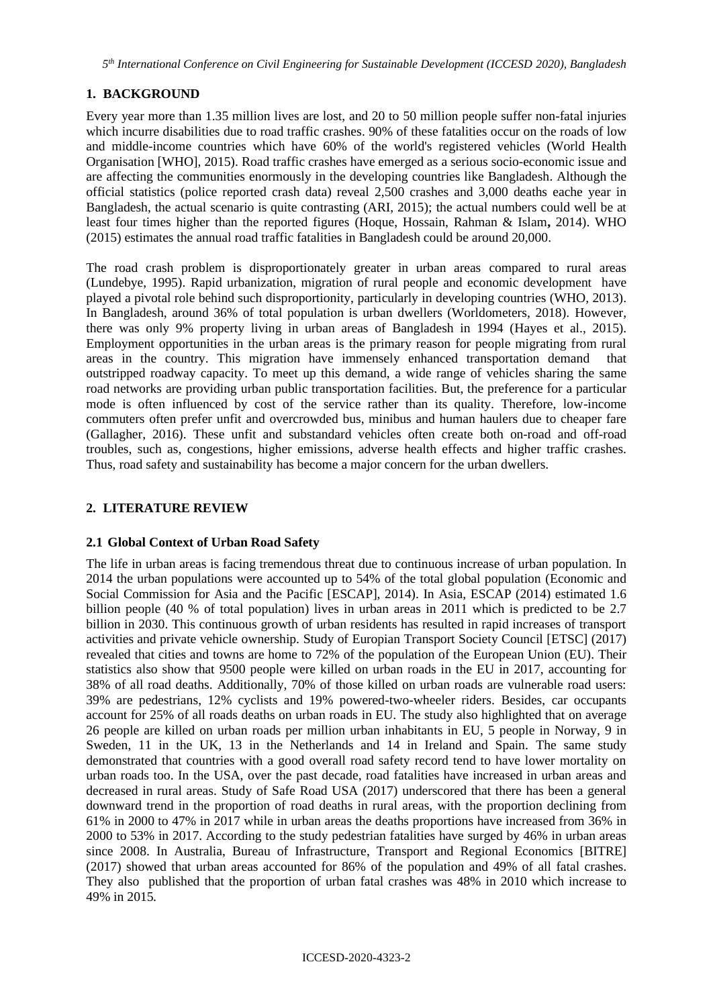# **1. BACKGROUND**

Every year more than 1.35 million lives are lost, and 20 to 50 million people suffer non-fatal injuries which incurre disabilities due to road traffic crashes. 90% of these fatalities occur on the roads of low and middle-income countries which have 60% of the world's registered vehicles (World Health Organisation [WHO], 2015). Road traffic crashes have emerged as a serious socio-economic issue and are affecting the communities enormously in the developing countries like Bangladesh. Although the official statistics (police reported crash data) reveal 2,500 crashes and 3,000 deaths eache year in Bangladesh, the actual scenario is quite contrasting (ARI, 2015); the actual numbers could well be at least four times higher than the reported figures (Hoque, Hossain, Rahman & Islam**,** 2014). WHO (2015) estimates the annual road traffic fatalities in Bangladesh could be around 20,000.

The road crash problem is disproportionately greater in urban areas compared to rural areas (Lundebye, 1995). Rapid urbanization, migration of rural people and economic development have played a pivotal role behind such disproportionity, particularly in developing countries (WHO, 2013). In Bangladesh, around 36% of total population is urban dwellers (Worldometers, 2018). However, there was only 9% property living in urban areas of Bangladesh in 1994 (Hayes et al., 2015). Employment opportunities in the urban areas is the primary reason for people migrating from rural areas in the country. This migration have immensely enhanced transportation demand that outstripped roadway capacity. To meet up this demand, a wide range of vehicles sharing the same road networks are providing urban public transportation facilities. But, the preference for a particular mode is often influenced by cost of the service rather than its quality. Therefore, low-income commuters often prefer unfit and overcrowded bus, minibus and human haulers due to cheaper fare (Gallagher, 2016). These unfit and substandard vehicles often create both on-road and off-road troubles, such as, congestions, higher emissions, adverse health effects and higher traffic crashes. Thus, road safety and sustainability has become a major concern for the urban dwellers.

# **2. LITERATURE REVIEW**

### **2.1 Global Context of Urban Road Safety**

The life in urban areas is facing tremendous threat due to continuous increase of urban population. In 2014 the urban populations were accounted up to 54% of the total global population (Economic and Social Commission for Asia and the Pacific [ESCAP], 2014). In Asia, ESCAP (2014) estimated 1.6 billion people (40 % of total population) lives in urban areas in 2011 which is predicted to be 2.7 billion in 2030. This continuous growth of urban residents has resulted in rapid increases of transport activities and private vehicle ownership. Study of Europian Transport Society Council [ETSC] (2017) revealed that cities and towns are home to 72% of the population of the European Union (EU). Their statistics also show that 9500 people were killed on urban roads in the EU in 2017, accounting for 38% of all road deaths. Additionally, 70% of those killed on urban roads are vulnerable road users: 39% are pedestrians, 12% cyclists and 19% powered-two-wheeler riders. Besides, car occupants account for 25% of all roads deaths on urban roads in EU. The study also highlighted that on average 26 people are killed on urban roads per million urban inhabitants in EU, 5 people in Norway, 9 in Sweden, 11 in the UK, 13 in the Netherlands and 14 in Ireland and Spain. The same study demonstrated that countries with a good overall road safety record tend to have lower mortality on urban roads too. In the USA, over the past decade, road fatalities have increased in urban areas and decreased in rural areas. Study of Safe Road USA (2017) underscored that there has been a general downward trend in the proportion of road deaths in rural areas, with the proportion declining from 61% in 2000 to 47% in 2017 while in urban areas the deaths proportions have increased from 36% in 2000 to 53% in 2017. According to the study pedestrian fatalities have surged by 46% in urban areas since 2008. In Australia, Bureau of Infrastructure, Transport and Regional Economics [BITRE] (2017) showed that urban areas accounted for 86% of the population and 49% of all fatal crashes. They also published that the proportion of urban fatal crashes was 48% in 2010 which increase to 49% in 2015*.*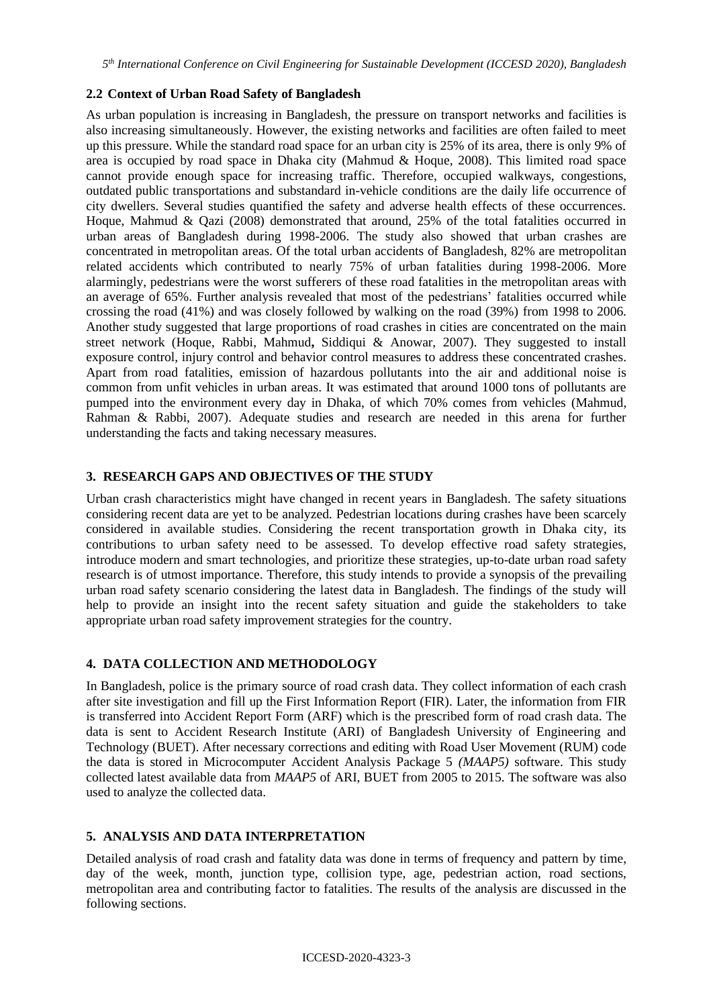## **2.2 Context of Urban Road Safety of Bangladesh**

As urban population is increasing in Bangladesh, the pressure on transport networks and facilities is also increasing simultaneously. However, the existing networks and facilities are often failed to meet up this pressure. While the standard road space for an urban city is 25% of its area, there is only 9% of area is occupied by road space in Dhaka city (Mahmud & Hoque, 2008). This limited road space cannot provide enough space for increasing traffic. Therefore, occupied walkways, congestions, outdated public transportations and substandard in-vehicle conditions are the daily life occurrence of city dwellers. Several studies quantified the safety and adverse health effects of these occurrences. Hoque, Mahmud & Qazi (2008) demonstrated that around, 25% of the total fatalities occurred in urban areas of Bangladesh during 1998-2006. The study also showed that urban crashes are concentrated in metropolitan areas. Of the total urban accidents of Bangladesh, 82% are metropolitan related accidents which contributed to nearly 75% of urban fatalities during 1998-2006. More alarmingly, pedestrians were the worst sufferers of these road fatalities in the metropolitan areas with an average of 65%. Further analysis revealed that most of the pedestrians' fatalities occurred while crossing the road (41%) and was closely followed by walking on the road (39%) from 1998 to 2006. Another study suggested that large proportions of road crashes in cities are concentrated on the main street network (Hoque, Rabbi, Mahmud**,** Siddiqui & Anowar, 2007). They suggested to install exposure control, injury control and behavior control measures to address these concentrated crashes. Apart from road fatalities, emission of hazardous pollutants into the air and additional noise is common from unfit vehicles in urban areas. It was estimated that around 1000 tons of pollutants are pumped into the environment every day in Dhaka, of which 70% comes from vehicles (Mahmud, Rahman & Rabbi, 2007). Adequate studies and research are needed in this arena for further understanding the facts and taking necessary measures.

## **3. RESEARCH GAPS AND OBJECTIVES OF THE STUDY**

Urban crash characteristics might have changed in recent years in Bangladesh. The safety situations considering recent data are yet to be analyzed. Pedestrian locations during crashes have been scarcely considered in available studies. Considering the recent transportation growth in Dhaka city, its contributions to urban safety need to be assessed. To develop effective road safety strategies, introduce modern and smart technologies, and prioritize these strategies, up-to-date urban road safety research is of utmost importance. Therefore, this study intends to provide a synopsis of the prevailing urban road safety scenario considering the latest data in Bangladesh. The findings of the study will help to provide an insight into the recent safety situation and guide the stakeholders to take appropriate urban road safety improvement strategies for the country.

# **4. DATA COLLECTION AND METHODOLOGY**

In Bangladesh, police is the primary source of road crash data. They collect information of each crash after site investigation and fill up the First Information Report (FIR). Later, the information from FIR is transferred into Accident Report Form (ARF) which is the prescribed form of road crash data. The data is sent to Accident Research Institute (ARI) of Bangladesh University of Engineering and Technology (BUET). After necessary corrections and editing with Road User Movement (RUM) code the data is stored in Microcomputer Accident Analysis Package 5 *(MAAP5)* software. This study collected latest available data from *MAAP5* of ARI, BUET from 2005 to 2015. The software was also used to analyze the collected data.

# **5. ANALYSIS AND DATA INTERPRETATION**

Detailed analysis of road crash and fatality data was done in terms of frequency and pattern by time, day of the week, month, junction type, collision type, age, pedestrian action, road sections, metropolitan area and contributing factor to fatalities. The results of the analysis are discussed in the following sections.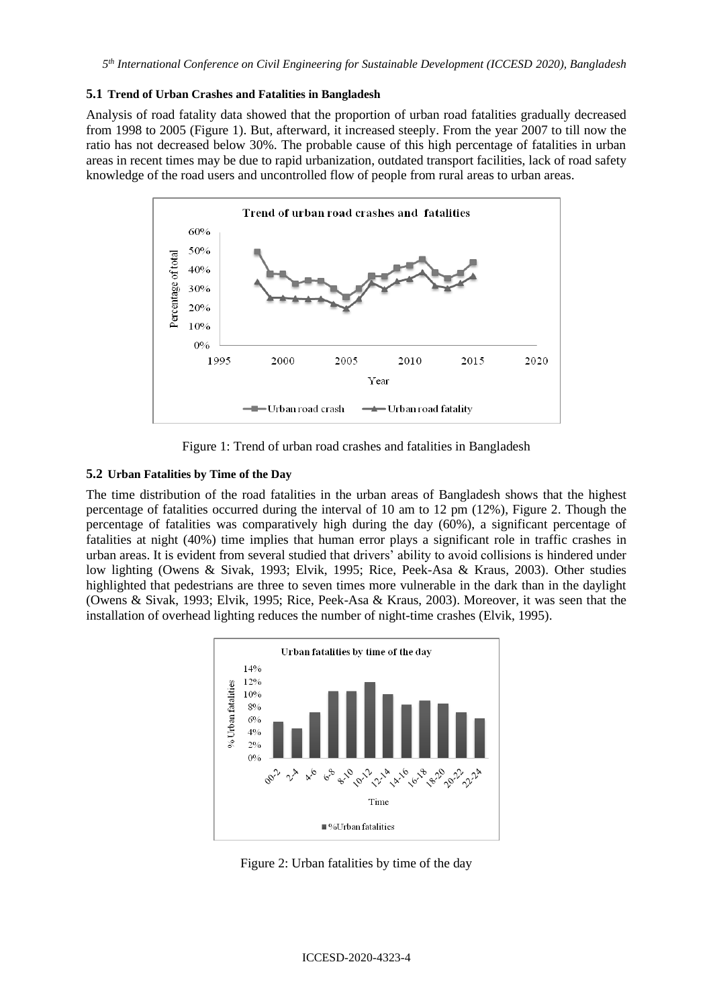#### **5.1 Trend of Urban Crashes and Fatalities in Bangladesh**

Analysis of road fatality data showed that the proportion of urban road fatalities gradually decreased from 1998 to 2005 (Figure 1). But, afterward, it increased steeply. From the year 2007 to till now the ratio has not decreased below 30%. The probable cause of this high percentage of fatalities in urban areas in recent times may be due to rapid urbanization, outdated transport facilities, lack of road safety knowledge of the road users and uncontrolled flow of people from rural areas to urban areas.



Figure 1: Trend of urban road crashes and fatalities in Bangladesh

### **5.2 Urban Fatalities by Time of the Day**

The time distribution of the road fatalities in the urban areas of Bangladesh shows that the highest percentage of fatalities occurred during the interval of 10 am to 12 pm (12%), Figure 2. Though the percentage of fatalities was comparatively high during the day (60%), a significant percentage of fatalities at night (40%) time implies that human error plays a significant role in traffic crashes in urban areas. It is evident from several studied that drivers' ability to avoid collisions is hindered under low lighting (Owens & Sivak, 1993; Elvik, 1995; Rice, Peek-Asa & Kraus, 2003). Other studies highlighted that pedestrians are three to seven times more vulnerable in the dark than in the daylight (Owens & Sivak, 1993; Elvik, 1995; Rice, Peek-Asa & Kraus, 2003). Moreover, it was seen that the installation of overhead lighting reduces the number of night-time crashes (Elvik, 1995).



Figure 2: Urban fatalities by time of the day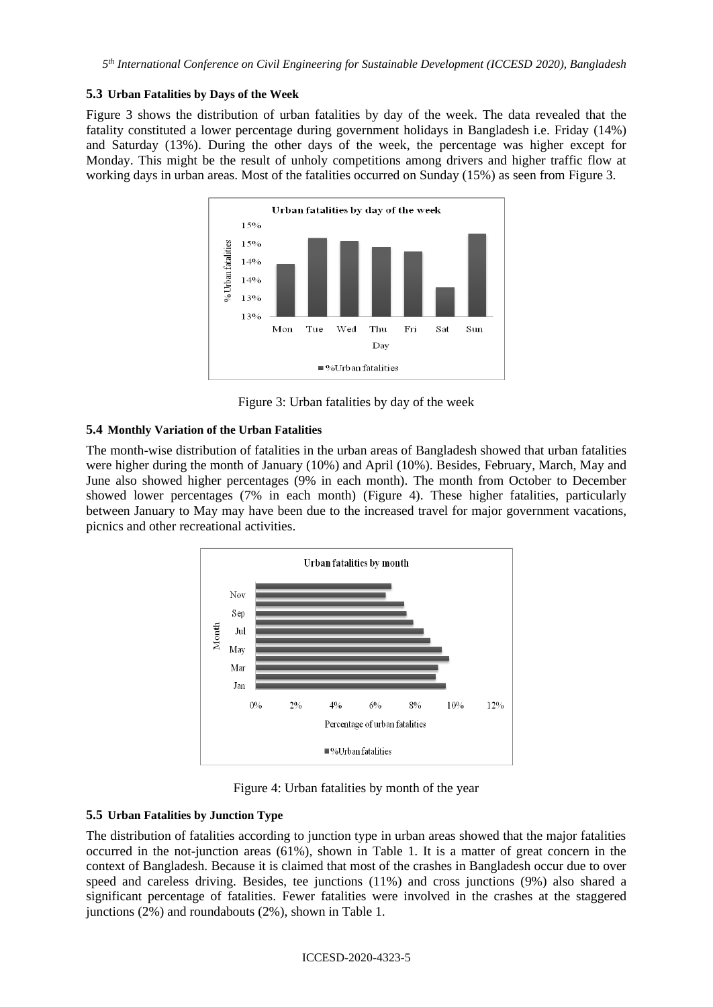#### **5.3 Urban Fatalities by Days of the Week**

Figure 3 shows the distribution of urban fatalities by day of the week. The data revealed that the fatality constituted a lower percentage during government holidays in Bangladesh i.e. Friday (14%) and Saturday (13%). During the other days of the week, the percentage was higher except for Monday. This might be the result of unholy competitions among drivers and higher traffic flow at working days in urban areas. Most of the fatalities occurred on Sunday (15%) as seen from Figure 3.



Figure 3: Urban fatalities by day of the week

### **5.4 Monthly Variation of the Urban Fatalities**

The month-wise distribution of fatalities in the urban areas of Bangladesh showed that urban fatalities were higher during the month of January (10%) and April (10%). Besides, February, March, May and June also showed higher percentages (9% in each month). The month from October to December showed lower percentages (7% in each month) (Figure 4). These higher fatalities, particularly between January to May may have been due to the increased travel for major government vacations, picnics and other recreational activities.



Figure 4: Urban fatalities by month of the year

### **5.5 Urban Fatalities by Junction Type**

The distribution of fatalities according to junction type in urban areas showed that the major fatalities occurred in the not-junction areas (61%), shown in Table 1. It is a matter of great concern in the context of Bangladesh. Because it is claimed that most of the crashes in Bangladesh occur due to over speed and careless driving. Besides, tee junctions (11%) and cross junctions (9%) also shared a significant percentage of fatalities. Fewer fatalities were involved in the crashes at the staggered junctions  $(2\%)$  and roundabouts  $(2\%)$ , shown in Table 1.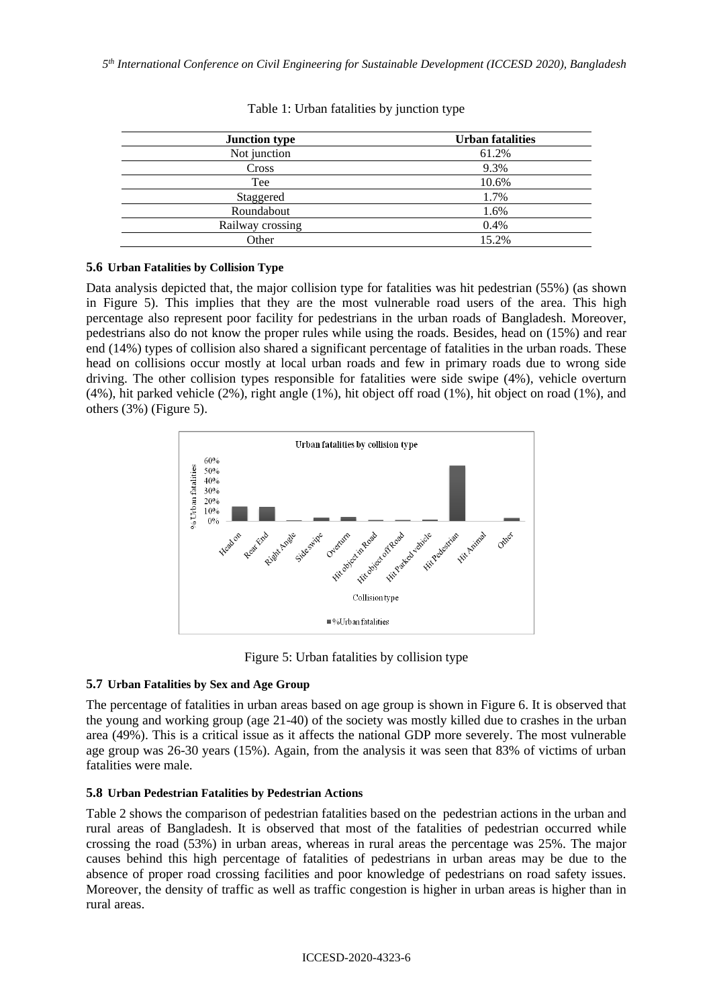| <b>Junction type</b> | <b>Urban fatalities</b> |
|----------------------|-------------------------|
| Not junction         | 61.2%                   |
| Cross                | 9.3%                    |
| Tee                  | 10.6%                   |
| Staggered            | 1.7%                    |
| Roundabout           | 1.6%                    |
| Railway crossing     | 0.4%                    |
| Other                | 15.2%                   |

Table 1: Urban fatalities by junction type

## **5.6 Urban Fatalities by Collision Type**

Data analysis depicted that, the major collision type for fatalities was hit pedestrian (55%) (as shown in Figure 5). This implies that they are the most vulnerable road users of the area. This high percentage also represent poor facility for pedestrians in the urban roads of Bangladesh. Moreover, pedestrians also do not know the proper rules while using the roads. Besides, head on (15%) and rear end (14%) types of collision also shared a significant percentage of fatalities in the urban roads. These head on collisions occur mostly at local urban roads and few in primary roads due to wrong side driving. The other collision types responsible for fatalities were side swipe (4%), vehicle overturn (4%), hit parked vehicle (2%), right angle (1%), hit object off road (1%), hit object on road (1%), and others (3%) (Figure 5).



Figure 5: Urban fatalities by collision type

# **5.7 Urban Fatalities by Sex and Age Group**

The percentage of fatalities in urban areas based on age group is shown in Figure 6. It is observed that the young and working group (age 21-40) of the society was mostly killed due to crashes in the urban area (49%). This is a critical issue as it affects the national GDP more severely. The most vulnerable age group was 26-30 years (15%). Again, from the analysis it was seen that 83% of victims of urban fatalities were male.

### **5.8 Urban Pedestrian Fatalities by Pedestrian Actions**

Table 2 shows the comparison of pedestrian fatalities based on the pedestrian actions in the urban and rural areas of Bangladesh. It is observed that most of the fatalities of pedestrian occurred while crossing the road (53%) in urban areas, whereas in rural areas the percentage was 25%. The major causes behind this high percentage of fatalities of pedestrians in urban areas may be due to the absence of proper road crossing facilities and poor knowledge of pedestrians on road safety issues. Moreover, the density of traffic as well as traffic congestion is higher in urban areas is higher than in rural areas.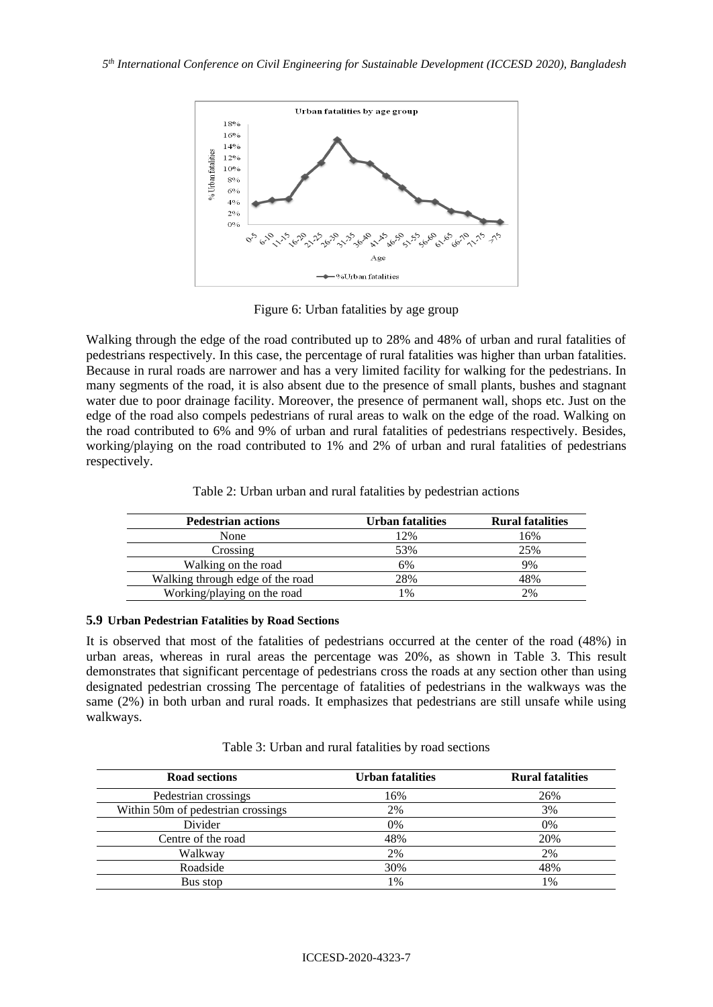

Figure 6: Urban fatalities by age group

Walking through the edge of the road contributed up to 28% and 48% of urban and rural fatalities of pedestrians respectively. In this case, the percentage of rural fatalities was higher than urban fatalities. Because in rural roads are narrower and has a very limited facility for walking for the pedestrians. In many segments of the road, it is also absent due to the presence of small plants, bushes and stagnant water due to poor drainage facility. Moreover, the presence of permanent wall, shops etc. Just on the edge of the road also compels pedestrians of rural areas to walk on the edge of the road. Walking on the road contributed to 6% and 9% of urban and rural fatalities of pedestrians respectively. Besides, working/playing on the road contributed to 1% and 2% of urban and rural fatalities of pedestrians respectively.

| <b>Pedestrian actions</b>        | Urban fatalities | <b>Rural fatalities</b> |
|----------------------------------|------------------|-------------------------|
| None                             | 12%              | 16%                     |
| Crossing                         | 53%              | 25%                     |
| Walking on the road              | 6%               | 9%                      |
| Walking through edge of the road | 28%              | 48%                     |
| Working/playing on the road      | $\%$             | 2%                      |

Table 2: Urban urban and rural fatalities by pedestrian actions

#### **5.9 Urban Pedestrian Fatalities by Road Sections**

It is observed that most of the fatalities of pedestrians occurred at the center of the road (48%) in urban areas, whereas in rural areas the percentage was 20%, as shown in Table 3. This result demonstrates that significant percentage of pedestrians cross the roads at any section other than using designated pedestrian crossing The percentage of fatalities of pedestrians in the walkways was the same (2%) in both urban and rural roads. It emphasizes that pedestrians are still unsafe while using walkways.

| Table 3: Urban and rural fatalities by road sections |  |  |  |  |
|------------------------------------------------------|--|--|--|--|
|------------------------------------------------------|--|--|--|--|

| <b>Road sections</b>               | <b>Urban fatalities</b> | <b>Rural fatalities</b> |
|------------------------------------|-------------------------|-------------------------|
| Pedestrian crossings               | 16%                     | 26%                     |
| Within 50m of pedestrian crossings | 2%                      | 3%                      |
| Divider                            | 0%                      | 0%                      |
| Centre of the road                 | 48%                     | 20%                     |
| Walkway                            | 2%                      | 2%                      |
| Roadside                           | 30%                     | 48%                     |
| Bus stop                           | 1%                      | 1%                      |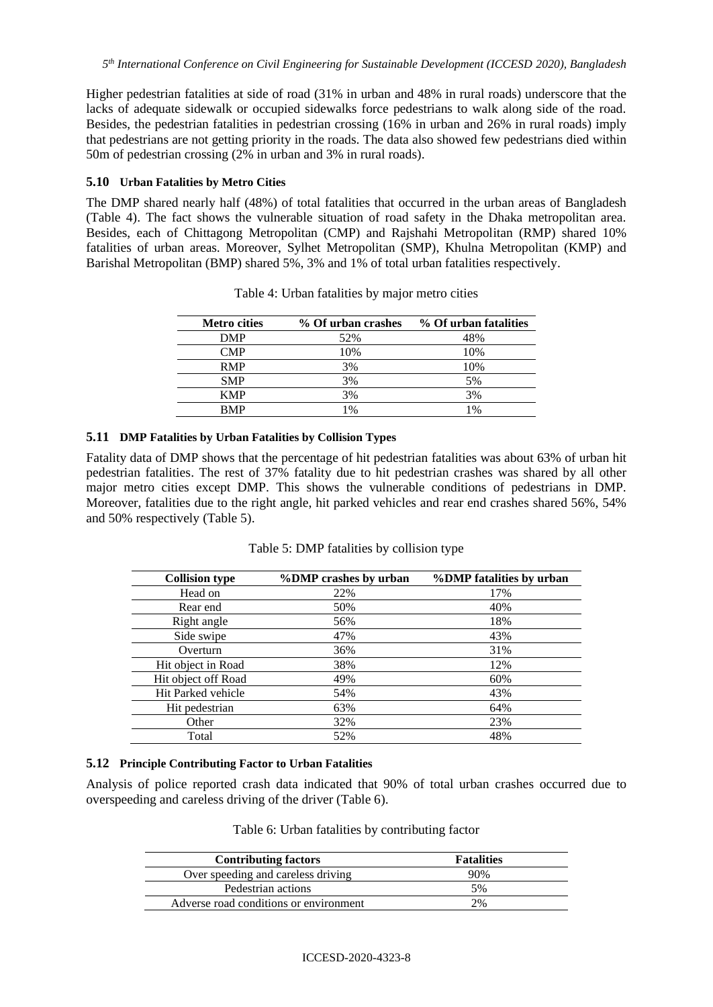Higher pedestrian fatalities at side of road (31% in urban and 48% in rural roads) underscore that the lacks of adequate sidewalk or occupied sidewalks force pedestrians to walk along side of the road. Besides, the pedestrian fatalities in pedestrian crossing (16% in urban and 26% in rural roads) imply that pedestrians are not getting priority in the roads. The data also showed few pedestrians died within 50m of pedestrian crossing (2% in urban and 3% in rural roads).

### **5.10 Urban Fatalities by Metro Cities**

The DMP shared nearly half (48%) of total fatalities that occurred in the urban areas of Bangladesh (Table 4). The fact shows the vulnerable situation of road safety in the Dhaka metropolitan area. Besides, each of Chittagong Metropolitan (CMP) and Rajshahi Metropolitan (RMP) shared 10% fatalities of urban areas. Moreover, Sylhet Metropolitan (SMP), Khulna Metropolitan (KMP) and Barishal Metropolitan (BMP) shared 5%, 3% and 1% of total urban fatalities respectively.

| <b>Metro cities</b> | % Of urban crashes | % Of urban fatalities |
|---------------------|--------------------|-----------------------|
| <b>DMP</b>          | 52%                | 48%                   |
| CMP                 | 10%                | 10%                   |
| <b>RMP</b>          | 3%                 | 10%                   |
| <b>SMP</b>          | 3%                 | 5%                    |
| <b>KMP</b>          | 3%                 | 3%                    |
| <b>BMP</b>          | 1%                 | 1%                    |

Table 4: Urban fatalities by major metro cities

#### **5.11 DMP Fatalities by Urban Fatalities by Collision Types**

Fatality data of DMP shows that the percentage of hit pedestrian fatalities was about 63% of urban hit pedestrian fatalities. The rest of 37% fatality due to hit pedestrian crashes was shared by all other major metro cities except DMP. This shows the vulnerable conditions of pedestrians in DMP. Moreover, fatalities due to the right angle, hit parked vehicles and rear end crashes shared 56%, 54% and 50% respectively (Table 5).

| <b>Collision type</b> | %DMP crashes by urban | %DMP fatalities by urban |
|-----------------------|-----------------------|--------------------------|
| Head on               | 22%                   | 17%                      |
| Rear end              | 50%                   | 40%                      |
| Right angle           | 56%                   | 18%                      |
| Side swipe            | 47%                   | 43%                      |
| Overturn              | 36%                   | 31%                      |
| Hit object in Road    | 38%                   | 12%                      |
| Hit object off Road   | 49%                   | 60%                      |
| Hit Parked vehicle    | 54%                   | 43%                      |
| Hit pedestrian        | 63%                   | 64%                      |
| Other                 | 32%                   | 23%                      |
| Total                 | 52%                   | 48%                      |

Table 5: DMP fatalities by collision type

### **5.12 Principle Contributing Factor to Urban Fatalities**

Analysis of police reported crash data indicated that 90% of total urban crashes occurred due to overspeeding and careless driving of the driver (Table 6).

|  |  | Table 6: Urban fatalities by contributing factor |  |
|--|--|--------------------------------------------------|--|
|  |  |                                                  |  |

| <b>Contributing factors</b>            | <b>Fatalities</b> |  |
|----------------------------------------|-------------------|--|
| Over speeding and careless driving     | 90%               |  |
| Pedestrian actions                     | 5%                |  |
| Adverse road conditions or environment | 2%                |  |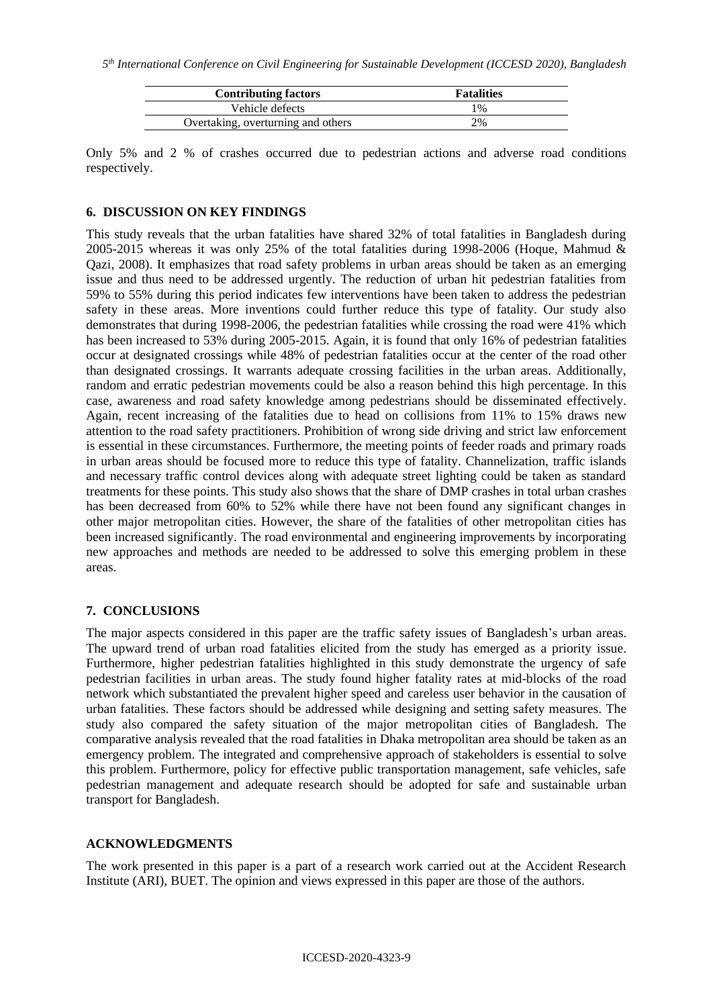| <b>Contributing factors</b>        | <b>Fatalities</b> |
|------------------------------------|-------------------|
| Vehicle defects                    | $1\%$             |
| Overtaking, overturning and others | 2%                |

Only 5% and 2 % of crashes occurred due to pedestrian actions and adverse road conditions respectively.

#### **6. DISCUSSION ON KEY FINDINGS**

This study reveals that the urban fatalities have shared 32% of total fatalities in Bangladesh during 2005-2015 whereas it was only 25% of the total fatalities during 1998-2006 (Hoque, Mahmud & Qazi, 2008). It emphasizes that road safety problems in urban areas should be taken as an emerging issue and thus need to be addressed urgently. The reduction of urban hit pedestrian fatalities from 59% to 55% during this period indicates few interventions have been taken to address the pedestrian safety in these areas. More inventions could further reduce this type of fatality. Our study also demonstrates that during 1998-2006, the pedestrian fatalities while crossing the road were 41% which has been increased to 53% during 2005-2015. Again, it is found that only 16% of pedestrian fatalities occur at designated crossings while 48% of pedestrian fatalities occur at the center of the road other than designated crossings. It warrants adequate crossing facilities in the urban areas. Additionally, random and erratic pedestrian movements could be also a reason behind this high percentage. In this case, awareness and road safety knowledge among pedestrians should be disseminated effectively. Again, recent increasing of the fatalities due to head on collisions from 11% to 15% draws new attention to the road safety practitioners. Prohibition of wrong side driving and strict law enforcement is essential in these circumstances. Furthermore, the meeting points of feeder roads and primary roads in urban areas should be focused more to reduce this type of fatality. Channelization, traffic islands and necessary traffic control devices along with adequate street lighting could be taken as standard treatments for these points. This study also shows that the share of DMP crashes in total urban crashes has been decreased from 60% to 52% while there have not been found any significant changes in other major metropolitan cities. However, the share of the fatalities of other metropolitan cities has been increased significantly. The road environmental and engineering improvements by incorporating new approaches and methods are needed to be addressed to solve this emerging problem in these areas.

### **7. CONCLUSIONS**

The major aspects considered in this paper are the traffic safety issues of Bangladesh's urban areas. The upward trend of urban road fatalities elicited from the study has emerged as a priority issue. Furthermore, higher pedestrian fatalities highlighted in this study demonstrate the urgency of safe pedestrian facilities in urban areas. The study found higher fatality rates at mid-blocks of the road network which substantiated the prevalent higher speed and careless user behavior in the causation of urban fatalities. These factors should be addressed while designing and setting safety measures. The study also compared the safety situation of the major metropolitan cities of Bangladesh. The comparative analysis revealed that the road fatalities in Dhaka metropolitan area should be taken as an emergency problem. The integrated and comprehensive approach of stakeholders is essential to solve this problem. Furthermore, policy for effective public transportation management, safe vehicles, safe pedestrian management and adequate research should be adopted for safe and sustainable urban transport for Bangladesh.

### **ACKNOWLEDGMENTS**

The work presented in this paper is a part of a research work carried out at the Accident Research Institute (ARI), BUET. The opinion and views expressed in this paper are those of the authors.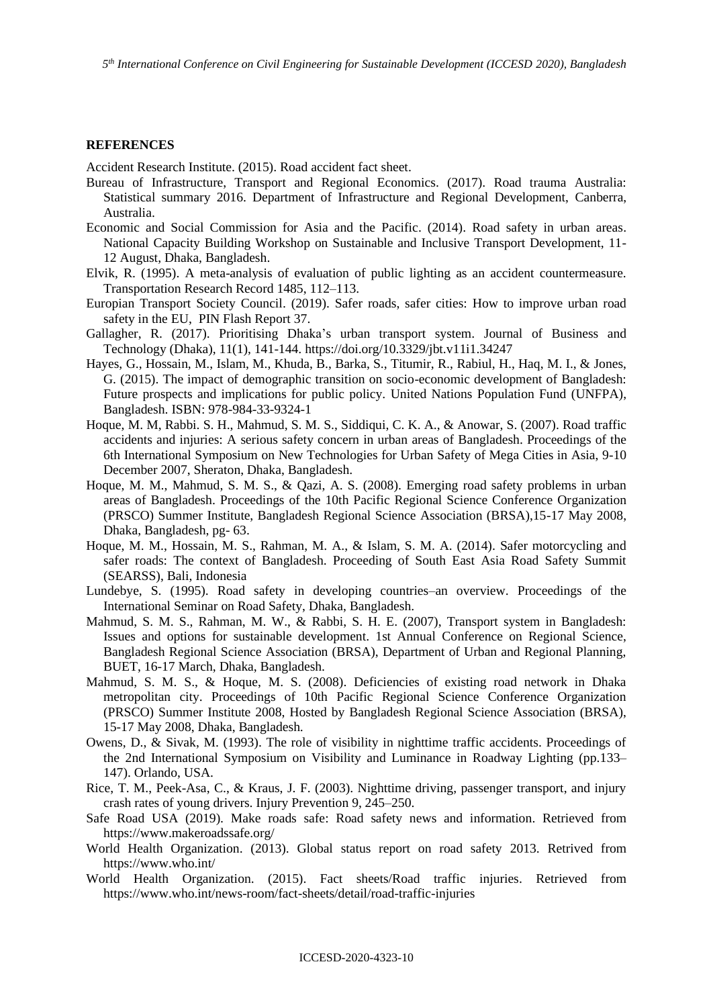#### **REFERENCES**

Accident Research Institute. (2015). Road accident fact sheet.

- Bureau of Infrastructure, Transport and Regional Economics. (2017). Road trauma Australia: Statistical summary 2016. Department of Infrastructure and Regional Development, Canberra, Australia.
- Economic and Social Commission for Asia and the Pacific. (2014). Road safety in urban areas. National Capacity Building Workshop on Sustainable and Inclusive Transport Development, 11- 12 August, Dhaka, Bangladesh.
- Elvik, R. (1995). A meta-analysis of evaluation of public lighting as an accident countermeasure. Transportation Research Record 1485, 112–113.
- Europian Transport Society Council. (2019). Safer roads, safer cities: How to improve urban road safety in the EU, PIN Flash Report 37.
- Gallagher, R. (2017). Prioritising Dhaka's urban transport system. Journal of Business and Technology (Dhaka), 11(1), 141-144[. https://doi.org/10.3329/jbt.v11i1.34247](https://doi.org/10.3329/jbt.v11i1.34247)
- Hayes, G., Hossain, M., Islam, M., Khuda, B., Barka, S., Titumir, R., Rabiul, H., Haq, M. I., & Jones, G. (2015). The impact of demographic transition on socio-economic development of Bangladesh: Future prospects and implications for public policy. United Nations Population Fund (UNFPA), Bangladesh. ISBN: 978-984-33-9324-1
- Hoque, M. M, Rabbi. S. H., Mahmud, S. M. S., Siddiqui, C. K. A., & Anowar, S. (2007). Road traffic accidents and injuries: A serious safety concern in urban areas of Bangladesh. Proceedings of the 6th International Symposium on New Technologies for Urban Safety of Mega Cities in Asia, 9-10 December 2007, Sheraton, Dhaka, Bangladesh.
- Hoque, M. M., Mahmud, S. M. S., & Qazi, A. S. (2008). Emerging road safety problems in urban areas of Bangladesh. Proceedings of the 10th Pacific Regional Science Conference Organization (PRSCO) Summer Institute, Bangladesh Regional Science Association (BRSA),15-17 May 2008, Dhaka, Bangladesh, pg- 63.
- Hoque, M. M., Hossain, M. S., Rahman, M. A., & Islam, S. M. A. (2014). Safer motorcycling and safer roads: The context of Bangladesh. Proceeding of South East Asia Road Safety Summit (SEARSS), Bali, Indonesia
- Lundebye, S. (1995). Road safety in developing countries–an overview. Proceedings of the International Seminar on Road Safety, Dhaka, Bangladesh.
- Mahmud, S. M. S., Rahman, M. W., & Rabbi, S. H. E. (2007), Transport system in Bangladesh: Issues and options for sustainable development. 1st Annual Conference on Regional Science, Bangladesh Regional Science Association (BRSA), Department of Urban and Regional Planning, BUET, 16-17 March, Dhaka, Bangladesh.
- Mahmud, S. M. S., & Hoque, M. S. (2008). Deficiencies of existing road network in Dhaka metropolitan city. Proceedings of 10th Pacific Regional Science Conference Organization (PRSCO) Summer Institute 2008, Hosted by Bangladesh Regional Science Association (BRSA), 15-17 May 2008, Dhaka, Bangladesh.
- Owens, D., & Sivak, M. (1993). The role of visibility in nighttime traffic accidents. Proceedings of the 2nd International Symposium on Visibility and Luminance in Roadway Lighting (pp.133– 147). Orlando, USA.
- Rice, T. M., Peek-Asa, C., & Kraus, J. F. (2003). Nighttime driving, passenger transport, and injury crash rates of young drivers. Injury Prevention 9, 245–250.
- Safe Road USA (2019). Make roads safe: Road safety news and information. Retrieved from https://www.makeroadssafe.org/
- World Health Organization. (2013). Global status report on road safety 2013. Retrived from https://www.who.int/
- World Health Organization. (2015). Fact sheets/Road traffic injuries. Retrieved from <https://www.who.int/news-room/fact-sheets/detail/road-traffic-injuries>